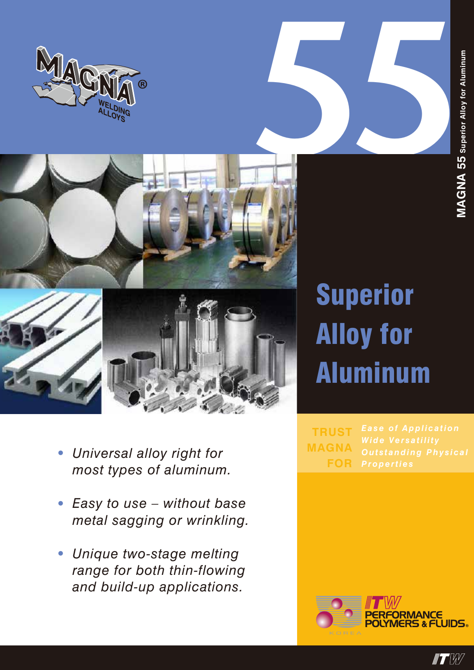





- *• Universal alloy right for most types of aluminum.*
- *• Easy to use without base metal sagging or wrinkling.*
- *• Unique two-stage melting range for both thin-flowing and build-up applications.*

## Superior Alloy for Aluminum

**TRUST MAGNA FOR**



 $\blacksquare$